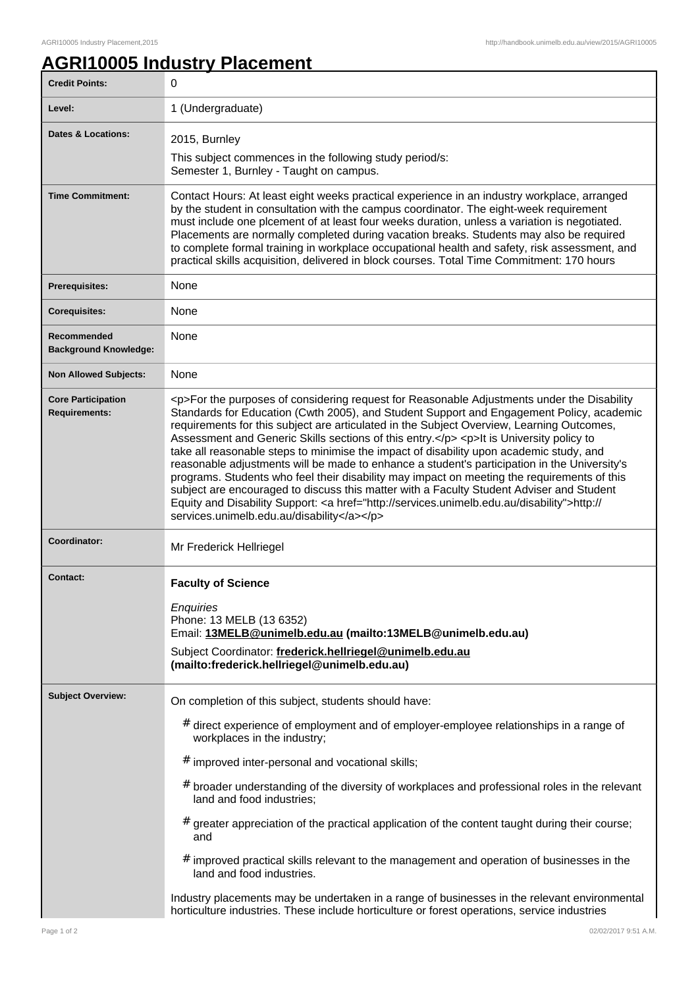٦

## **AGRI10005 Industry Placement**

| <b>Credit Points:</b>                             | 0                                                                                                                                                                                                                                                                                                                                                                                                                                                                                                                                                                                                                                                                                                                                                                                                                                                                                                                         |
|---------------------------------------------------|---------------------------------------------------------------------------------------------------------------------------------------------------------------------------------------------------------------------------------------------------------------------------------------------------------------------------------------------------------------------------------------------------------------------------------------------------------------------------------------------------------------------------------------------------------------------------------------------------------------------------------------------------------------------------------------------------------------------------------------------------------------------------------------------------------------------------------------------------------------------------------------------------------------------------|
| Level:                                            | 1 (Undergraduate)                                                                                                                                                                                                                                                                                                                                                                                                                                                                                                                                                                                                                                                                                                                                                                                                                                                                                                         |
| Dates & Locations:                                | 2015, Burnley                                                                                                                                                                                                                                                                                                                                                                                                                                                                                                                                                                                                                                                                                                                                                                                                                                                                                                             |
|                                                   | This subject commences in the following study period/s:<br>Semester 1, Burnley - Taught on campus.                                                                                                                                                                                                                                                                                                                                                                                                                                                                                                                                                                                                                                                                                                                                                                                                                        |
| <b>Time Commitment:</b>                           | Contact Hours: At least eight weeks practical experience in an industry workplace, arranged<br>by the student in consultation with the campus coordinator. The eight-week requirement<br>must include one plcement of at least four weeks duration, unless a variation is negotiated.<br>Placements are normally completed during vacation breaks. Students may also be required<br>to complete formal training in workplace occupational health and safety, risk assessment, and<br>practical skills acquisition, delivered in block courses. Total Time Commitment: 170 hours                                                                                                                                                                                                                                                                                                                                           |
| <b>Prerequisites:</b>                             | None                                                                                                                                                                                                                                                                                                                                                                                                                                                                                                                                                                                                                                                                                                                                                                                                                                                                                                                      |
| <b>Corequisites:</b>                              | None                                                                                                                                                                                                                                                                                                                                                                                                                                                                                                                                                                                                                                                                                                                                                                                                                                                                                                                      |
| Recommended<br><b>Background Knowledge:</b>       | None                                                                                                                                                                                                                                                                                                                                                                                                                                                                                                                                                                                                                                                                                                                                                                                                                                                                                                                      |
| <b>Non Allowed Subjects:</b>                      | None                                                                                                                                                                                                                                                                                                                                                                                                                                                                                                                                                                                                                                                                                                                                                                                                                                                                                                                      |
| <b>Core Participation</b><br><b>Requirements:</b> | <p>For the purposes of considering request for Reasonable Adjustments under the Disability<br/>Standards for Education (Cwth 2005), and Student Support and Engagement Policy, academic<br/>requirements for this subject are articulated in the Subject Overview, Learning Outcomes,<br/>Assessment and Generic Skills sections of this entry.</p> <p>lt is University policy to<br/>take all reasonable steps to minimise the impact of disability upon academic study, and<br/>reasonable adjustments will be made to enhance a student's participation in the University's<br/>programs. Students who feel their disability may impact on meeting the requirements of this<br/>subject are encouraged to discuss this matter with a Faculty Student Adviser and Student<br/>Equity and Disability Support: <a href="http://services.unimelb.edu.au/disability">http://<br/>services.unimelb.edu.au/disability</a></p> |
| Coordinator:                                      | Mr Frederick Hellriegel                                                                                                                                                                                                                                                                                                                                                                                                                                                                                                                                                                                                                                                                                                                                                                                                                                                                                                   |
| <b>Contact:</b>                                   | <b>Faculty of Science</b><br>Enquiries<br>Phone: 13 MELB (13 6352)<br>Email: 13MELB@unimelb.edu.au (mailto:13MELB@unimelb.edu.au)<br>Subject Coordinator: frederick.hellriegel@unimelb.edu.au<br>(mailto:frederick.hellriegel@unimelb.edu.au)                                                                                                                                                                                                                                                                                                                                                                                                                                                                                                                                                                                                                                                                             |
| <b>Subject Overview:</b>                          | On completion of this subject, students should have:                                                                                                                                                                                                                                                                                                                                                                                                                                                                                                                                                                                                                                                                                                                                                                                                                                                                      |
|                                                   | $#$ direct experience of employment and of employer-employee relationships in a range of<br>workplaces in the industry;                                                                                                                                                                                                                                                                                                                                                                                                                                                                                                                                                                                                                                                                                                                                                                                                   |
|                                                   | # improved inter-personal and vocational skills;                                                                                                                                                                                                                                                                                                                                                                                                                                                                                                                                                                                                                                                                                                                                                                                                                                                                          |
|                                                   | # broader understanding of the diversity of workplaces and professional roles in the relevant<br>land and food industries;                                                                                                                                                                                                                                                                                                                                                                                                                                                                                                                                                                                                                                                                                                                                                                                                |
|                                                   | greater appreciation of the practical application of the content taught during their course;<br>#<br>and                                                                                                                                                                                                                                                                                                                                                                                                                                                                                                                                                                                                                                                                                                                                                                                                                  |
|                                                   | # improved practical skills relevant to the management and operation of businesses in the<br>land and food industries.                                                                                                                                                                                                                                                                                                                                                                                                                                                                                                                                                                                                                                                                                                                                                                                                    |
|                                                   | Industry placements may be undertaken in a range of businesses in the relevant environmental<br>horticulture industries. These include horticulture or forest operations, service industries                                                                                                                                                                                                                                                                                                                                                                                                                                                                                                                                                                                                                                                                                                                              |